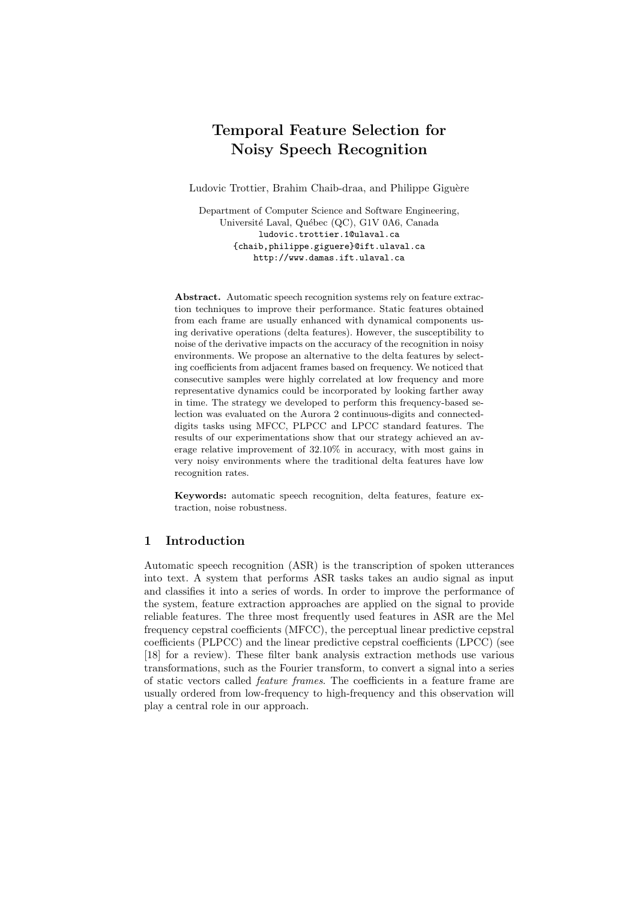# Temporal Feature Selection for Noisy Speech Recognition

Ludovic Trottier, Brahim Chaib-draa, and Philippe Giguère

Department of Computer Science and Software Engineering, Université Laval, Québec (QC), G1V 0A6, Canada ludovic.trottier.1@ulaval.ca {chaib,philippe.giguere}@ift.ulaval.ca http://www.damas.ift.ulaval.ca

Abstract. Automatic speech recognition systems rely on feature extraction techniques to improve their performance. Static features obtained from each frame are usually enhanced with dynamical components using derivative operations (delta features). However, the susceptibility to noise of the derivative impacts on the accuracy of the recognition in noisy environments. We propose an alternative to the delta features by selecting coefficients from adjacent frames based on frequency. We noticed that consecutive samples were highly correlated at low frequency and more representative dynamics could be incorporated by looking farther away in time. The strategy we developed to perform this frequency-based selection was evaluated on the Aurora 2 continuous-digits and connecteddigits tasks using MFCC, PLPCC and LPCC standard features. The results of our experimentations show that our strategy achieved an average relative improvement of 32.10% in accuracy, with most gains in very noisy environments where the traditional delta features have low recognition rates.

Keywords: automatic speech recognition, delta features, feature extraction, noise robustness.

# 1 Introduction

Automatic speech recognition (ASR) is the transcription of spoken utterances into text. A system that performs ASR tasks takes an audio signal as input and classifies it into a series of words. In order to improve the performance of the system, feature extraction approaches are applied on the signal to provide reliable features. The three most frequently used features in ASR are the Mel frequency cepstral coefficients (MFCC), the perceptual linear predictive cepstral coefficients (PLPCC) and the linear predictive cepstral coefficients (LPCC) (see [18] for a review). These filter bank analysis extraction methods use various transformations, such as the Fourier transform, to convert a signal into a series of static vectors called feature frames. The coefficients in a feature frame are usually ordered from low-frequency to high-frequency and this observation will play a central role in our approach.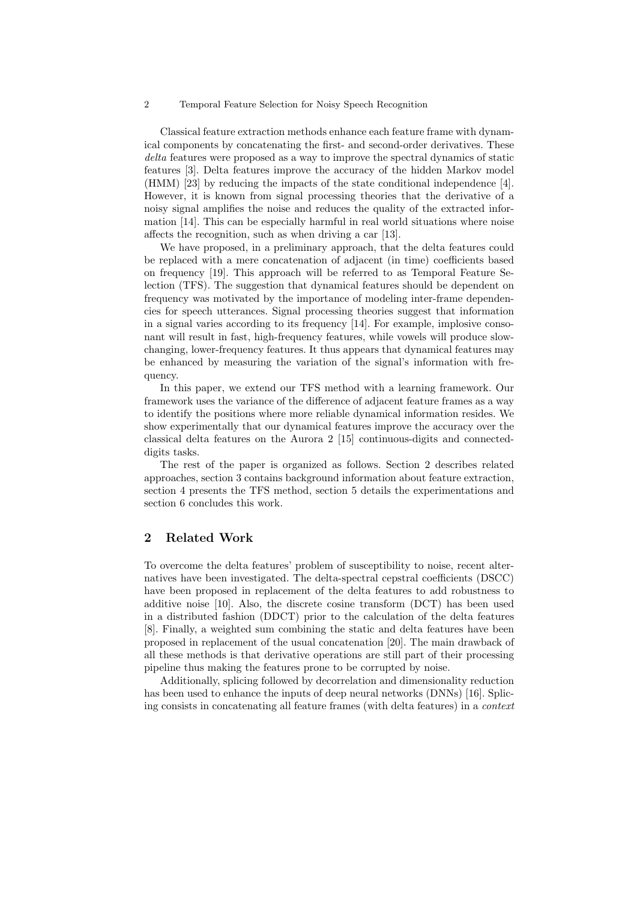#### 2 Temporal Feature Selection for Noisy Speech Recognition

Classical feature extraction methods enhance each feature frame with dynamical components by concatenating the first- and second-order derivatives. These delta features were proposed as a way to improve the spectral dynamics of static features [3]. Delta features improve the accuracy of the hidden Markov model (HMM) [23] by reducing the impacts of the state conditional independence [4]. However, it is known from signal processing theories that the derivative of a noisy signal amplifies the noise and reduces the quality of the extracted information [14]. This can be especially harmful in real world situations where noise affects the recognition, such as when driving a car [13].

We have proposed, in a preliminary approach, that the delta features could be replaced with a mere concatenation of adjacent (in time) coefficients based on frequency [19]. This approach will be referred to as Temporal Feature Selection (TFS). The suggestion that dynamical features should be dependent on frequency was motivated by the importance of modeling inter-frame dependencies for speech utterances. Signal processing theories suggest that information in a signal varies according to its frequency [14]. For example, implosive consonant will result in fast, high-frequency features, while vowels will produce slowchanging, lower-frequency features. It thus appears that dynamical features may be enhanced by measuring the variation of the signal's information with frequency.

In this paper, we extend our TFS method with a learning framework. Our framework uses the variance of the difference of adjacent feature frames as a way to identify the positions where more reliable dynamical information resides. We show experimentally that our dynamical features improve the accuracy over the classical delta features on the Aurora 2 [15] continuous-digits and connecteddigits tasks.

The rest of the paper is organized as follows. Section 2 describes related approaches, section 3 contains background information about feature extraction, section 4 presents the TFS method, section 5 details the experimentations and section 6 concludes this work.

## 2 Related Work

To overcome the delta features' problem of susceptibility to noise, recent alternatives have been investigated. The delta-spectral cepstral coefficients (DSCC) have been proposed in replacement of the delta features to add robustness to additive noise [10]. Also, the discrete cosine transform (DCT) has been used in a distributed fashion (DDCT) prior to the calculation of the delta features [8]. Finally, a weighted sum combining the static and delta features have been proposed in replacement of the usual concatenation [20]. The main drawback of all these methods is that derivative operations are still part of their processing pipeline thus making the features prone to be corrupted by noise.

Additionally, splicing followed by decorrelation and dimensionality reduction has been used to enhance the inputs of deep neural networks (DNNs) [16]. Splicing consists in concatenating all feature frames (with delta features) in a context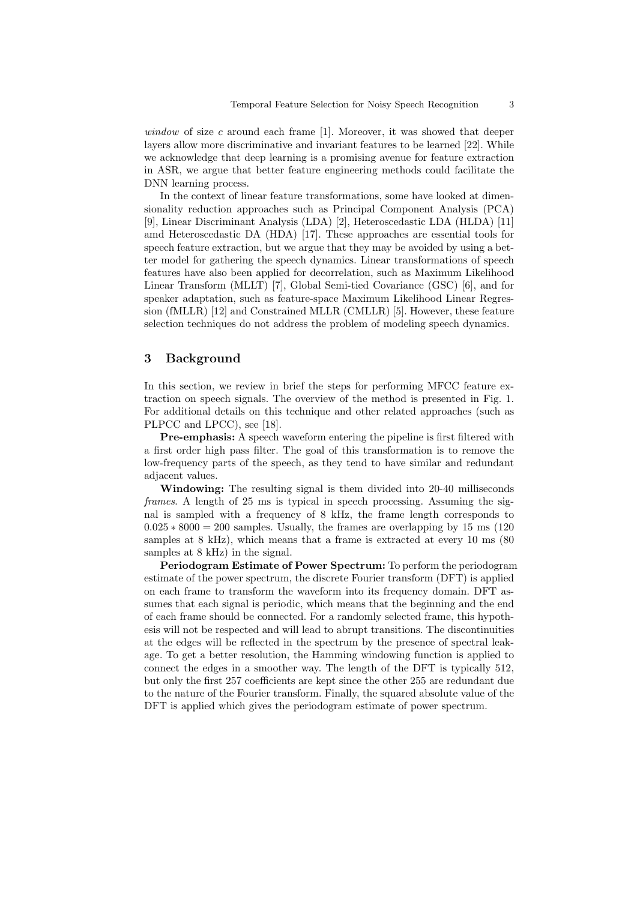window of size c around each frame [1]. Moreover, it was showed that deeper layers allow more discriminative and invariant features to be learned [22]. While we acknowledge that deep learning is a promising avenue for feature extraction in ASR, we argue that better feature engineering methods could facilitate the DNN learning process.

In the context of linear feature transformations, some have looked at dimensionality reduction approaches such as Principal Component Analysis (PCA) [9], Linear Discriminant Analysis (LDA) [2], Heteroscedastic LDA (HLDA) [11] amd Heteroscedastic DA (HDA) [17]. These approaches are essential tools for speech feature extraction, but we argue that they may be avoided by using a better model for gathering the speech dynamics. Linear transformations of speech features have also been applied for decorrelation, such as Maximum Likelihood Linear Transform (MLLT) [7], Global Semi-tied Covariance (GSC) [6], and for speaker adaptation, such as feature-space Maximum Likelihood Linear Regression (fMLLR) [12] and Constrained MLLR (CMLLR) [5]. However, these feature selection techniques do not address the problem of modeling speech dynamics.

# 3 Background

In this section, we review in brief the steps for performing MFCC feature extraction on speech signals. The overview of the method is presented in Fig. 1. For additional details on this technique and other related approaches (such as PLPCC and LPCC), see [18].

Pre-emphasis: A speech waveform entering the pipeline is first filtered with a first order high pass filter. The goal of this transformation is to remove the low-frequency parts of the speech, as they tend to have similar and redundant adjacent values.

Windowing: The resulting signal is them divided into 20-40 milliseconds frames. A length of 25 ms is typical in speech processing. Assuming the signal is sampled with a frequency of 8 kHz, the frame length corresponds to  $0.025 * 8000 = 200$  samples. Usually, the frames are overlapping by 15 ms (120) samples at  $8 \text{ kHz}$ , which means that a frame is extracted at every 10 ms (80) samples at 8 kHz) in the signal.

Periodogram Estimate of Power Spectrum: To perform the periodogram estimate of the power spectrum, the discrete Fourier transform (DFT) is applied on each frame to transform the waveform into its frequency domain. DFT assumes that each signal is periodic, which means that the beginning and the end of each frame should be connected. For a randomly selected frame, this hypothesis will not be respected and will lead to abrupt transitions. The discontinuities at the edges will be reflected in the spectrum by the presence of spectral leakage. To get a better resolution, the Hamming windowing function is applied to connect the edges in a smoother way. The length of the DFT is typically 512, but only the first 257 coefficients are kept since the other 255 are redundant due to the nature of the Fourier transform. Finally, the squared absolute value of the DFT is applied which gives the periodogram estimate of power spectrum.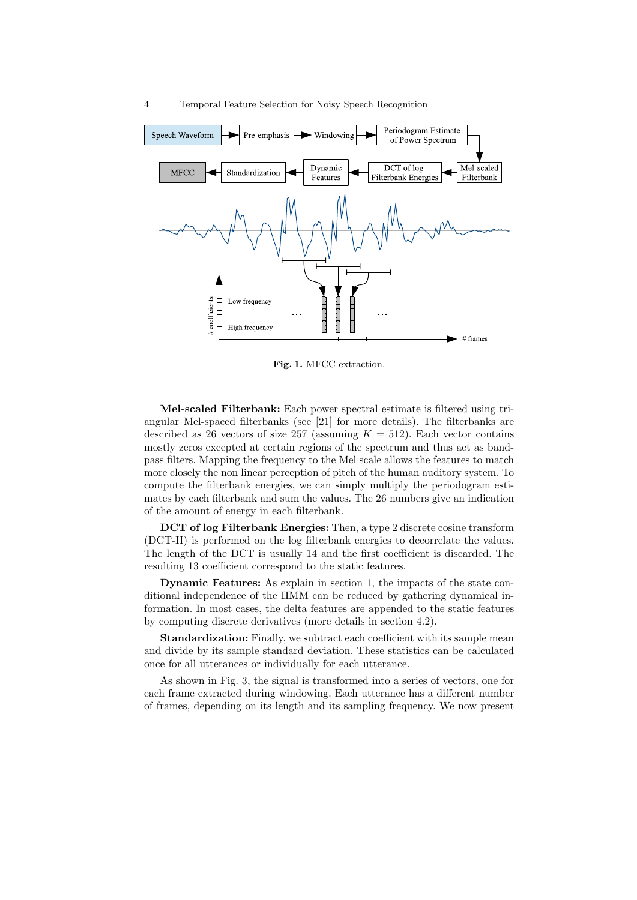

Fig. 1. MFCC extraction.

Mel-scaled Filterbank: Each power spectral estimate is filtered using triangular Mel-spaced filterbanks (see [21] for more details). The filterbanks are described as 26 vectors of size 257 (assuming  $K = 512$ ). Each vector contains mostly zeros excepted at certain regions of the spectrum and thus act as bandpass filters. Mapping the frequency to the Mel scale allows the features to match more closely the non linear perception of pitch of the human auditory system. To compute the filterbank energies, we can simply multiply the periodogram estimates by each filterbank and sum the values. The 26 numbers give an indication of the amount of energy in each filterbank.

DCT of log Filterbank Energies: Then, a type 2 discrete cosine transform (DCT-II) is performed on the log filterbank energies to decorrelate the values. The length of the DCT is usually 14 and the first coefficient is discarded. The resulting 13 coefficient correspond to the static features.

Dynamic Features: As explain in section 1, the impacts of the state conditional independence of the HMM can be reduced by gathering dynamical information. In most cases, the delta features are appended to the static features by computing discrete derivatives (more details in section 4.2).

Standardization: Finally, we subtract each coefficient with its sample mean and divide by its sample standard deviation. These statistics can be calculated once for all utterances or individually for each utterance.

As shown in Fig. 3, the signal is transformed into a series of vectors, one for each frame extracted during windowing. Each utterance has a different number of frames, depending on its length and its sampling frequency. We now present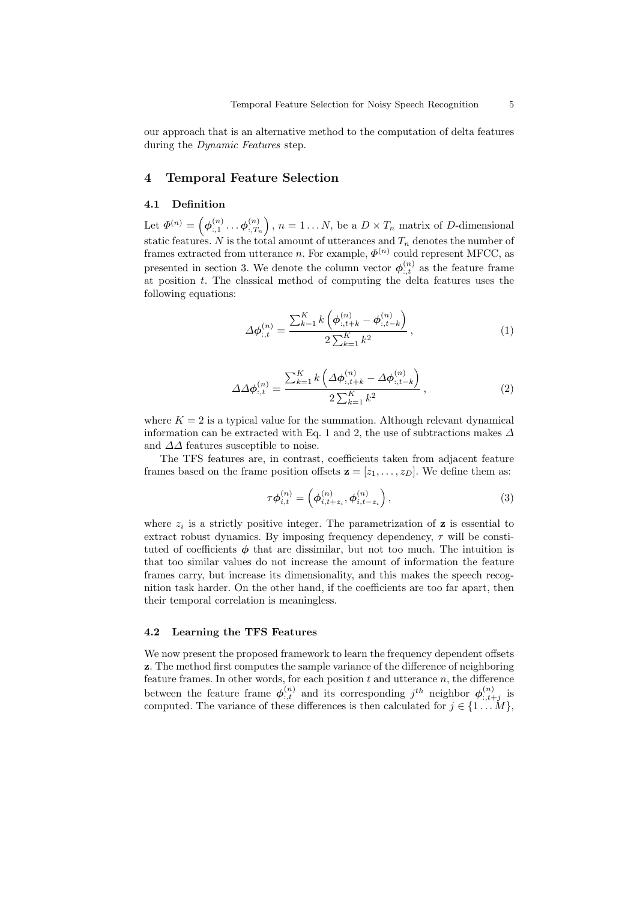our approach that is an alternative method to the computation of delta features during the Dynamic Features step.

### 4 Temporal Feature Selection

#### 4.1 Definition

Let  $\varPhi^{(n)} = \left(\boldsymbol{\phi}_{:,1}^{(n)} \dots \boldsymbol{\phi}_{:,T_i}^{(n)}\right)$  $\binom{n}{r,T_n}$ ,  $n = 1...N$ , be a  $D \times T_n$  matrix of D-dimensional static features. N is the total amount of utterances and  $T_n$  denotes the number of frames extracted from utterance n. For example,  $\Phi^{(n)}$  could represent MFCC, as presented in section 3. We denote the column vector  $\phi_{:,t}^{(n)}$  as the feature frame at position t. The classical method of computing the delta features uses the following equations:

$$
\Delta \phi_{:,t}^{(n)} = \frac{\sum_{k=1}^{K} k\left(\phi_{:,t+k}^{(n)} - \phi_{:,t-k}^{(n)}\right)}{2\sum_{k=1}^{K} k^2},\tag{1}
$$

$$
\Delta \Delta \phi_{:,t}^{(n)} = \frac{\sum_{k=1}^{K} k \left( \Delta \phi_{:,t+k}^{(n)} - \Delta \phi_{:,t-k}^{(n)} \right)}{2 \sum_{k=1}^{K} k^2},
$$
\n(2)

where  $K = 2$  is a typical value for the summation. Although relevant dynamical information can be extracted with Eq. 1 and 2, the use of subtractions makes  $\Delta$ and  $\Delta\Delta$  features susceptible to noise.

The TFS features are, in contrast, coefficients taken from adjacent feature frames based on the frame position offsets  $z = [z_1, \ldots, z_D]$ . We define them as:

$$
\tau \phi_{i,t}^{(n)} = \left( \phi_{i,t+z_i}^{(n)}, \phi_{i,t-z_i}^{(n)} \right), \tag{3}
$$

where  $z_i$  is a strictly positive integer. The parametrization of  $z$  is essential to extract robust dynamics. By imposing frequency dependency,  $\tau$  will be constituted of coefficients  $\phi$  that are dissimilar, but not too much. The intuition is that too similar values do not increase the amount of information the feature frames carry, but increase its dimensionality, and this makes the speech recognition task harder. On the other hand, if the coefficients are too far apart, then their temporal correlation is meaningless.

#### 4.2 Learning the TFS Features

We now present the proposed framework to learn the frequency dependent offsets z. The method first computes the sample variance of the difference of neighboring feature frames. In other words, for each position  $t$  and utterance  $n$ , the difference between the feature frame  $\phi^{(n)}_{:,t}$  and its corresponding  $j^{th}$  neighbor  $\phi^{(n)}_{:,t+j}$  is computed. The variance of these differences is then calculated for  $j \in \{1...M\},$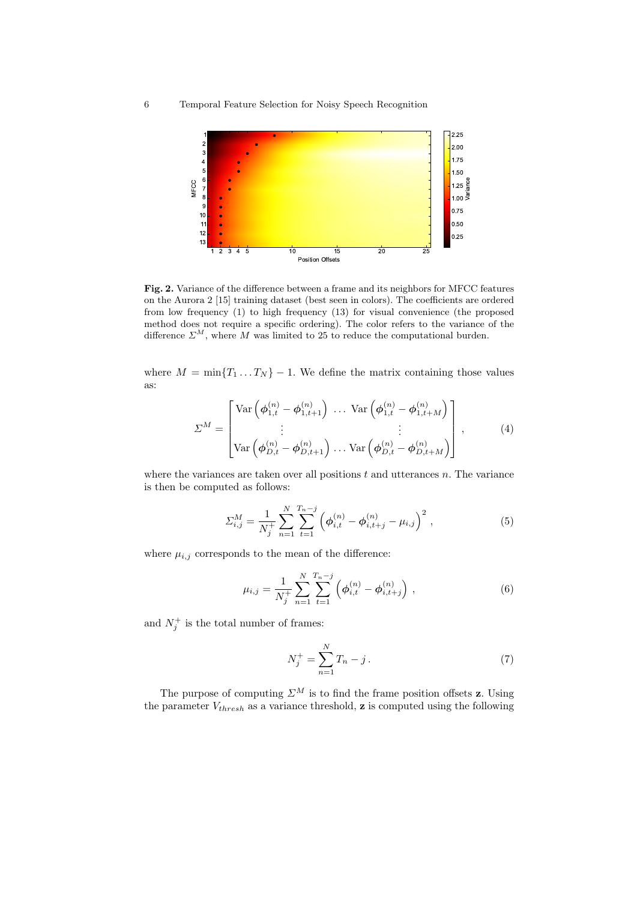

Fig. 2. Variance of the difference between a frame and its neighbors for MFCC features on the Aurora 2 [15] training dataset (best seen in colors). The coefficients are ordered from low frequency (1) to high frequency (13) for visual convenience (the proposed method does not require a specific ordering). The color refers to the variance of the difference  $\Sigma^M$ , where M was limited to 25 to reduce the computational burden.

where  $M = \min\{T_1 \dots T_N\} - 1$ . We define the matrix containing those values as:

$$
\Sigma^{M} = \begin{bmatrix}\n\text{Var}\left(\phi_{1,t}^{(n)} - \phi_{1,t+1}^{(n)}\right) \dots \text{Var}\left(\phi_{1,t}^{(n)} - \phi_{1,t+M}^{(n)}\right) \\
\vdots \\
\text{Var}\left(\phi_{D,t}^{(n)} - \phi_{D,t+1}^{(n)}\right) \dots \text{Var}\left(\phi_{D,t}^{(n)} - \phi_{D,t+M}^{(n)}\right)\n\end{bmatrix},
$$
\n(4)

where the variances are taken over all positions  $t$  and utterances  $n$ . The variance is then be computed as follows:

$$
\Sigma_{i,j}^M = \frac{1}{N_j^+} \sum_{n=1}^N \sum_{t=1}^{T_n - j} \left( \phi_{i,t}^{(n)} - \phi_{i,t+j}^{(n)} - \mu_{i,j} \right)^2, \qquad (5)
$$

where  $\mu_{i,j}$  corresponds to the mean of the difference:

$$
\mu_{i,j} = \frac{1}{N_j^+} \sum_{n=1}^N \sum_{t=1}^{T_n - j} \left( \phi_{i,t}^{(n)} - \phi_{i,t+j}^{(n)} \right), \qquad (6)
$$

and  $N_j^+$  is the total number of frames:

$$
N_j^+ = \sum_{n=1}^N T_n - j \,. \tag{7}
$$

The purpose of computing  $\Sigma^M$  is to find the frame position offsets **z**. Using the parameter  $V_{thresh}$  as a variance threshold, **z** is computed using the following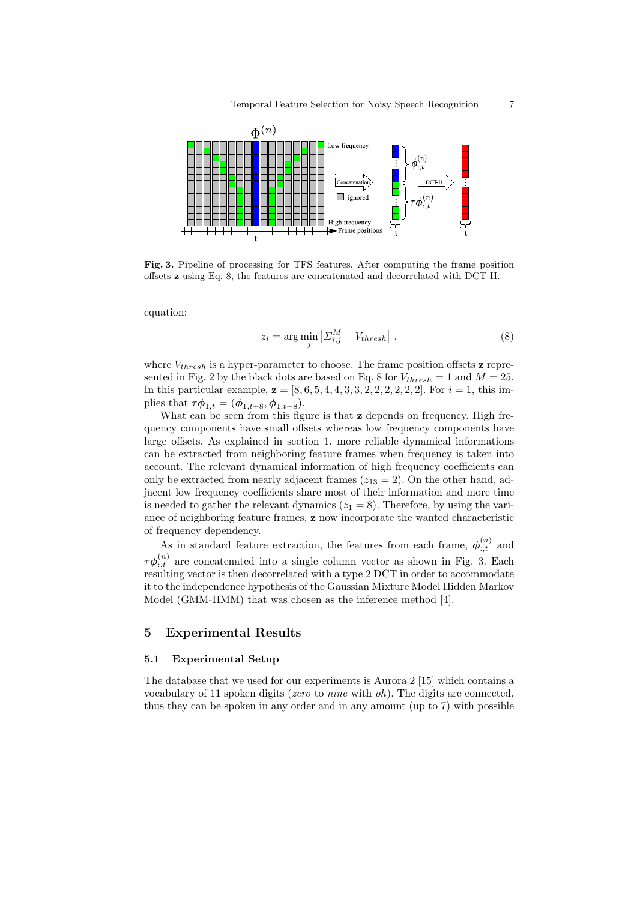

Fig. 3. Pipeline of processing for TFS features. After computing the frame position offsets z using Eq. 8, the features are concatenated and decorrelated with DCT-II.

equation:

$$
z_i = \arg\min_j \left| \sum_{i,j}^{M} -V_{thresh} \right| , \qquad (8)
$$

where  $V_{thresh}$  is a hyper-parameter to choose. The frame position offsets **z** represented in Fig. 2 by the black dots are based on Eq. 8 for  $V_{thresh} = 1$  and  $M = 25$ . In this particular example,  $z = [8, 6, 5, 4, 4, 3, 3, 2, 2, 2, 2, 2, 2, 2]$ . For  $i = 1$ , this implies that  $\tau \phi_{1,t} = (\phi_{1,t+8}, \phi_{1,t-8}).$ 

What can be seen from this figure is that z depends on frequency. High frequency components have small offsets whereas low frequency components have large offsets. As explained in section 1, more reliable dynamical informations can be extracted from neighboring feature frames when frequency is taken into account. The relevant dynamical information of high frequency coefficients can only be extracted from nearly adjacent frames  $(z_{13} = 2)$ . On the other hand, adjacent low frequency coefficients share most of their information and more time is needed to gather the relevant dynamics  $(z_1 = 8)$ . Therefore, by using the variance of neighboring feature frames, z now incorporate the wanted characteristic of frequency dependency.

As in standard feature extraction, the features from each frame,  $\phi_{:,t}^{(n)}$  and  $\tau\boldsymbol{\phi}_{:,t}^{(n)}$  are concatenated into a single column vector as shown in Fig. 3. Each resulting vector is then decorrelated with a type 2 DCT in order to accommodate it to the independence hypothesis of the Gaussian Mixture Model Hidden Markov Model (GMM-HMM) that was chosen as the inference method [4].

# 5 Experimental Results

#### 5.1 Experimental Setup

The database that we used for our experiments is Aurora 2 [15] which contains a vocabulary of 11 spoken digits (*zero* to *nine* with *oh*). The digits are connected, thus they can be spoken in any order and in any amount (up to 7) with possible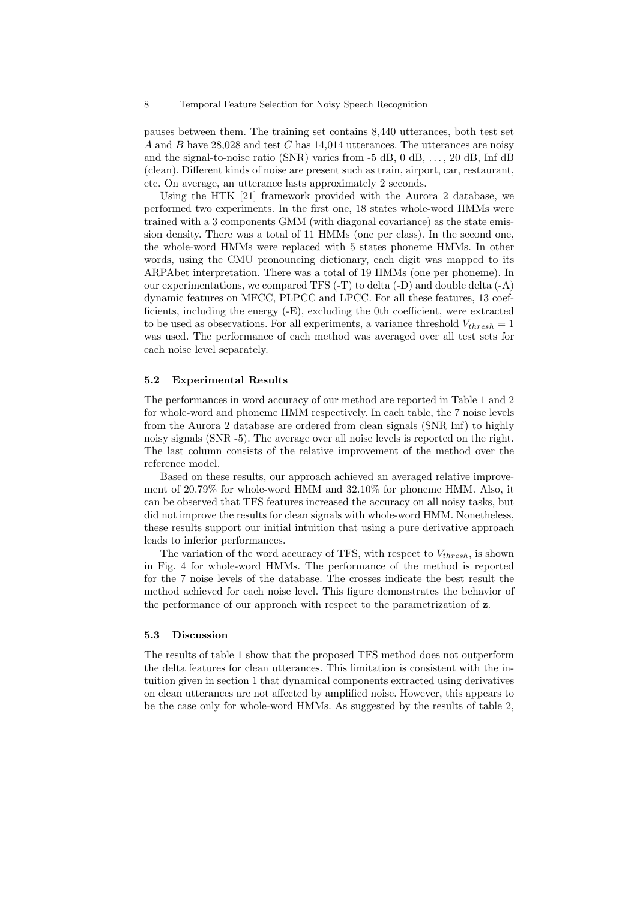#### 8 Temporal Feature Selection for Noisy Speech Recognition

pauses between them. The training set contains 8,440 utterances, both test set A and B have 28,028 and test C has 14,014 utterances. The utterances are noisy and the signal-to-noise ratio (SNR) varies from  $-5$  dB,  $0$  dB,  $\dots$ ,  $20$  dB, Inf dB (clean). Different kinds of noise are present such as train, airport, car, restaurant, etc. On average, an utterance lasts approximately 2 seconds.

Using the HTK [21] framework provided with the Aurora 2 database, we performed two experiments. In the first one, 18 states whole-word HMMs were trained with a 3 components GMM (with diagonal covariance) as the state emission density. There was a total of 11 HMMs (one per class). In the second one, the whole-word HMMs were replaced with 5 states phoneme HMMs. In other words, using the CMU pronouncing dictionary, each digit was mapped to its ARPAbet interpretation. There was a total of 19 HMMs (one per phoneme). In our experimentations, we compared TFS (-T) to delta (-D) and double delta (-A) dynamic features on MFCC, PLPCC and LPCC. For all these features, 13 coefficients, including the energy (-E), excluding the 0th coefficient, were extracted to be used as observations. For all experiments, a variance threshold  $V_{thresh} = 1$ was used. The performance of each method was averaged over all test sets for each noise level separately.

### 5.2 Experimental Results

The performances in word accuracy of our method are reported in Table 1 and 2 for whole-word and phoneme HMM respectively. In each table, the 7 noise levels from the Aurora 2 database are ordered from clean signals (SNR Inf) to highly noisy signals (SNR -5). The average over all noise levels is reported on the right. The last column consists of the relative improvement of the method over the reference model.

Based on these results, our approach achieved an averaged relative improvement of 20.79% for whole-word HMM and 32.10% for phoneme HMM. Also, it can be observed that TFS features increased the accuracy on all noisy tasks, but did not improve the results for clean signals with whole-word HMM. Nonetheless, these results support our initial intuition that using a pure derivative approach leads to inferior performances.

The variation of the word accuracy of TFS, with respect to  $V_{thresh}$ , is shown in Fig. 4 for whole-word HMMs. The performance of the method is reported for the 7 noise levels of the database. The crosses indicate the best result the method achieved for each noise level. This figure demonstrates the behavior of the performance of our approach with respect to the parametrization of z.

#### 5.3 Discussion

The results of table 1 show that the proposed TFS method does not outperform the delta features for clean utterances. This limitation is consistent with the intuition given in section 1 that dynamical components extracted using derivatives on clean utterances are not affected by amplified noise. However, this appears to be the case only for whole-word HMMs. As suggested by the results of table 2,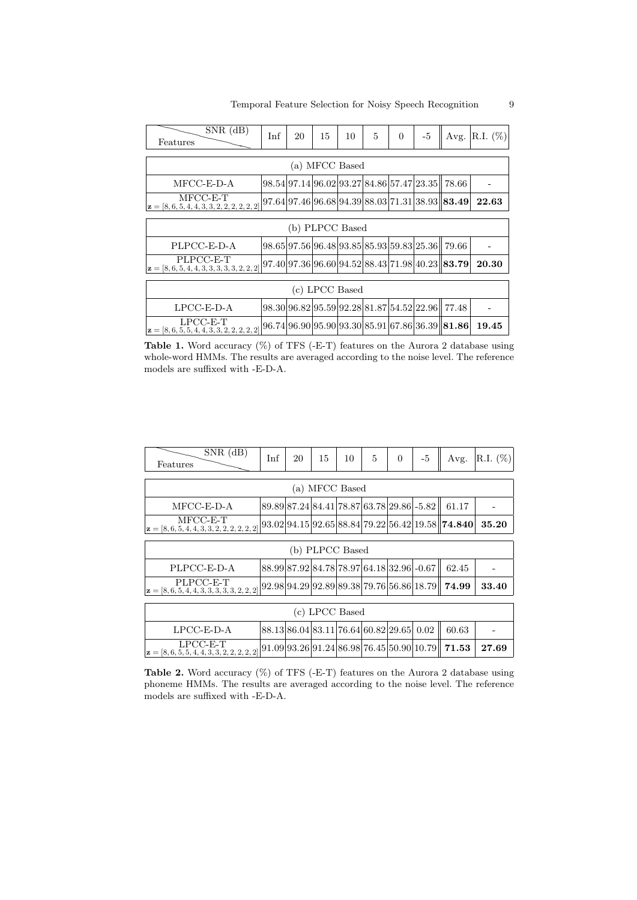| $SNR$ (dB)<br>Features                                                                                                                     | Inf | 20 | 15 | 10 | 5 | $\theta$ | $-5$                                      | Avg.                                                         | $\vert R.I. \left( \% \right)$ |  |
|--------------------------------------------------------------------------------------------------------------------------------------------|-----|----|----|----|---|----------|-------------------------------------------|--------------------------------------------------------------|--------------------------------|--|
|                                                                                                                                            |     |    |    |    |   |          |                                           |                                                              |                                |  |
| (a) MFCC Based                                                                                                                             |     |    |    |    |   |          |                                           |                                                              |                                |  |
| $MFCC-E-D-A$                                                                                                                               |     |    |    |    |   |          | 98.54 97.14 96.02 93.27 84.86 57.47 23.35 | 78.66                                                        |                                |  |
| MFCC-E-T<br>$\mathbf{z} = [8, 6, 5, 4, 4, 3, 3, 2, 2, 2, 2, 2, 2]$ 97.64 97.46 96.68 94.39 88.03 71.31 38.93 83.49                         |     |    |    |    |   |          |                                           |                                                              | 22.63                          |  |
|                                                                                                                                            |     |    |    |    |   |          |                                           |                                                              |                                |  |
| (b) PLPCC Based                                                                                                                            |     |    |    |    |   |          |                                           |                                                              |                                |  |
| PLPCC-E-D-A                                                                                                                                |     |    |    |    |   |          | 98.65 97.56 96.48 93.85 85.93 59.83 25.36 | 79.66                                                        |                                |  |
| PLPCC-E-T<br>$\mathbf{z} = [8, 6, 5, 4, 4, 3, 3, 3, 3, 3, 2, 2, 2]$   97.40   97.36   96.60   94.52   88.43   71.98   40.23   <b>83.79</b> |     |    |    |    |   |          |                                           |                                                              | 20.30                          |  |
|                                                                                                                                            |     |    |    |    |   |          |                                           |                                                              |                                |  |
| (c) LPCC Based                                                                                                                             |     |    |    |    |   |          |                                           |                                                              |                                |  |
| $LPCC-E-D-A$                                                                                                                               |     |    |    |    |   |          |                                           | 98.30 96.82 95.59 92.28 81.87 54.52 22.96 77.48              |                                |  |
| LPCC-E-T<br>$z = [8, 6, 5, 5, 4, 4, 3, 3, 2, 2, 2, 2, 2]$                                                                                  |     |    |    |    |   |          |                                           | $[96.74 96.90 95.90 93.30 85.91 67.86 36.39 $   <b>81.86</b> | 19.45                          |  |

Table 1. Word accuracy (%) of TFS (-E-T) features on the Aurora 2 database using whole-word HMMs. The results are averaged according to the noise level. The reference models are suffixed with -E-D-A.

| $SNR$ (dB)<br>Features                                                                                        | Inf                                           | 20                                         | 15 | 10 | 5 | $\overline{0}$ | $-5$ | Avg.                                                        | R.I. $(\%)$ |  |  |
|---------------------------------------------------------------------------------------------------------------|-----------------------------------------------|--------------------------------------------|----|----|---|----------------|------|-------------------------------------------------------------|-------------|--|--|
|                                                                                                               |                                               |                                            |    |    |   |                |      |                                                             |             |  |  |
| (a) MFCC Based                                                                                                |                                               |                                            |    |    |   |                |      |                                                             |             |  |  |
| $MFCC-E-D-A$                                                                                                  |                                               | 89.89 87.24 84.41 78.87 63.78 29.86 - 5.82 |    |    |   |                |      | 61.17                                                       |             |  |  |
| MFCC-E-T<br>$z = [8, 6, 5, 4, 4, 3, 3, 2, 2, 2, 2, 2, 2]$                                                     |                                               |                                            |    |    |   |                |      | $ 93.02 94.15 92.65 88.84 79.22 56.42 19.58 $ <b>74.840</b> | 35.20       |  |  |
|                                                                                                               |                                               |                                            |    |    |   |                |      |                                                             |             |  |  |
| (b) PLPCC Based                                                                                               |                                               |                                            |    |    |   |                |      |                                                             |             |  |  |
| PLPCC-E-D-A                                                                                                   |                                               | 88.99 87.92 84.78 78.97 64.18 32.96 - 0.67 |    |    |   |                |      | 62.45                                                       |             |  |  |
| PLPCC-E-T<br>$\mathbf{z} = [8, 6, 5, 4, 4, 3, 3, 3, 3, 3, 2, 2, 2]$ 92.98 94.29 92.89 89.38 79.76 56.86 18.79 |                                               |                                            |    |    |   |                |      | 74.99                                                       | 33.40       |  |  |
|                                                                                                               |                                               |                                            |    |    |   |                |      |                                                             |             |  |  |
| (c) LPCC Based                                                                                                |                                               |                                            |    |    |   |                |      |                                                             |             |  |  |
| LPCC-E-D-A                                                                                                    |                                               | 88.13 86.04 83.11 76.64 60.82 29.65        |    |    |   |                | 0.02 | 60.63                                                       |             |  |  |
| LPCC-E-T<br>$\mathbf{z}=[8,6,5,5,4,4,3,3,2,2,2,2,2]$                                                          | $ 91.09 93.26 91.24 86.98 76.45 50.90 10.79 $ |                                            |    |    |   |                |      | 71.53                                                       | 27.69       |  |  |

Table 2. Word accuracy (%) of TFS (-E-T) features on the Aurora 2 database using phoneme HMMs. The results are averaged according to the noise level. The reference models are suffixed with -E-D-A.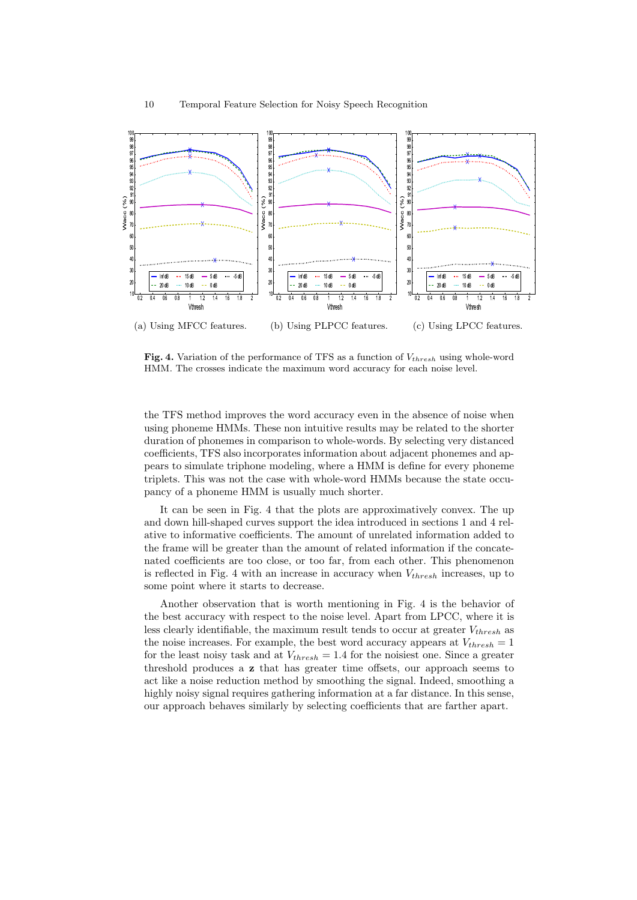

Fig. 4. Variation of the performance of TFS as a function of  $V_{thresh}$  using whole-word HMM. The crosses indicate the maximum word accuracy for each noise level.

the TFS method improves the word accuracy even in the absence of noise when using phoneme HMMs. These non intuitive results may be related to the shorter duration of phonemes in comparison to whole-words. By selecting very distanced coefficients, TFS also incorporates information about adjacent phonemes and appears to simulate triphone modeling, where a HMM is define for every phoneme triplets. This was not the case with whole-word HMMs because the state occupancy of a phoneme HMM is usually much shorter.

It can be seen in Fig. 4 that the plots are approximatively convex. The up and down hill-shaped curves support the idea introduced in sections 1 and 4 relative to informative coefficients. The amount of unrelated information added to the frame will be greater than the amount of related information if the concatenated coefficients are too close, or too far, from each other. This phenomenon is reflected in Fig. 4 with an increase in accuracy when  $V_{thresh}$  increases, up to some point where it starts to decrease.

Another observation that is worth mentioning in Fig. 4 is the behavior of the best accuracy with respect to the noise level. Apart from LPCC, where it is less clearly identifiable, the maximum result tends to occur at greater  $V_{thresh}$  as the noise increases. For example, the best word accuracy appears at  $V_{thresh} = 1$ for the least noisy task and at  $V_{thresh} = 1.4$  for the noisiest one. Since a greater threshold produces a z that has greater time offsets, our approach seems to act like a noise reduction method by smoothing the signal. Indeed, smoothing a highly noisy signal requires gathering information at a far distance. In this sense, our approach behaves similarly by selecting coefficients that are farther apart.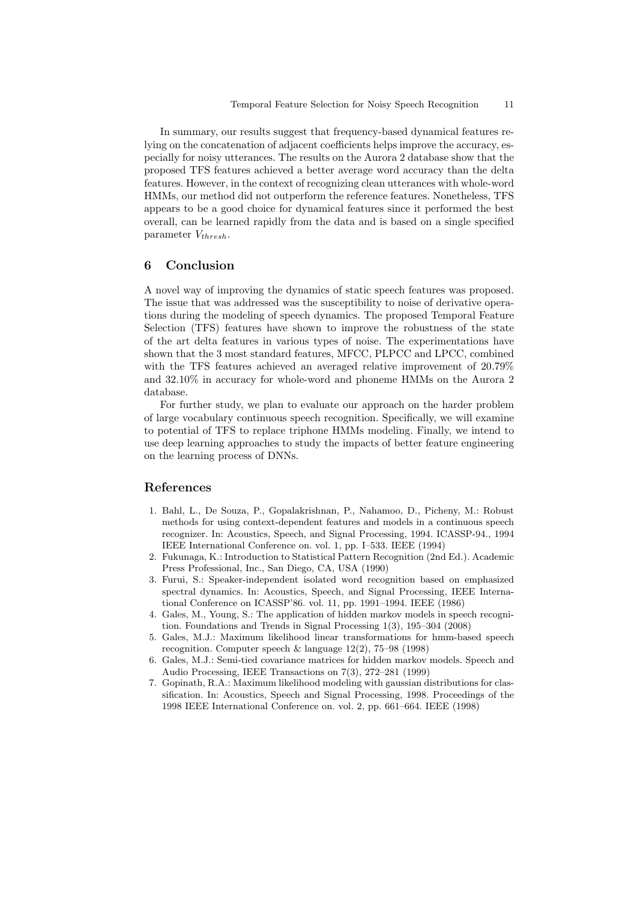In summary, our results suggest that frequency-based dynamical features relying on the concatenation of adjacent coefficients helps improve the accuracy, especially for noisy utterances. The results on the Aurora 2 database show that the proposed TFS features achieved a better average word accuracy than the delta features. However, in the context of recognizing clean utterances with whole-word HMMs, our method did not outperform the reference features. Nonetheless, TFS appears to be a good choice for dynamical features since it performed the best overall, can be learned rapidly from the data and is based on a single specified parameter  $V_{thresh}$ .

## 6 Conclusion

A novel way of improving the dynamics of static speech features was proposed. The issue that was addressed was the susceptibility to noise of derivative operations during the modeling of speech dynamics. The proposed Temporal Feature Selection (TFS) features have shown to improve the robustness of the state of the art delta features in various types of noise. The experimentations have shown that the 3 most standard features, MFCC, PLPCC and LPCC, combined with the TFS features achieved an averaged relative improvement of 20.79% and 32.10% in accuracy for whole-word and phoneme HMMs on the Aurora 2 database.

For further study, we plan to evaluate our approach on the harder problem of large vocabulary continuous speech recognition. Specifically, we will examine to potential of TFS to replace triphone HMMs modeling. Finally, we intend to use deep learning approaches to study the impacts of better feature engineering on the learning process of DNNs.

# References

- 1. Bahl, L., De Souza, P., Gopalakrishnan, P., Nahamoo, D., Picheny, M.: Robust methods for using context-dependent features and models in a continuous speech recognizer. In: Acoustics, Speech, and Signal Processing, 1994. ICASSP-94., 1994 IEEE International Conference on. vol. 1, pp. I–533. IEEE (1994)
- 2. Fukunaga, K.: Introduction to Statistical Pattern Recognition (2nd Ed.). Academic Press Professional, Inc., San Diego, CA, USA (1990)
- 3. Furui, S.: Speaker-independent isolated word recognition based on emphasized spectral dynamics. In: Acoustics, Speech, and Signal Processing, IEEE International Conference on ICASSP'86. vol. 11, pp. 1991–1994. IEEE (1986)
- 4. Gales, M., Young, S.: The application of hidden markov models in speech recognition. Foundations and Trends in Signal Processing 1(3), 195–304 (2008)
- 5. Gales, M.J.: Maximum likelihood linear transformations for hmm-based speech recognition. Computer speech & language 12(2), 75–98 (1998)
- 6. Gales, M.J.: Semi-tied covariance matrices for hidden markov models. Speech and Audio Processing, IEEE Transactions on 7(3), 272–281 (1999)
- 7. Gopinath, R.A.: Maximum likelihood modeling with gaussian distributions for classification. In: Acoustics, Speech and Signal Processing, 1998. Proceedings of the 1998 IEEE International Conference on. vol. 2, pp. 661–664. IEEE (1998)